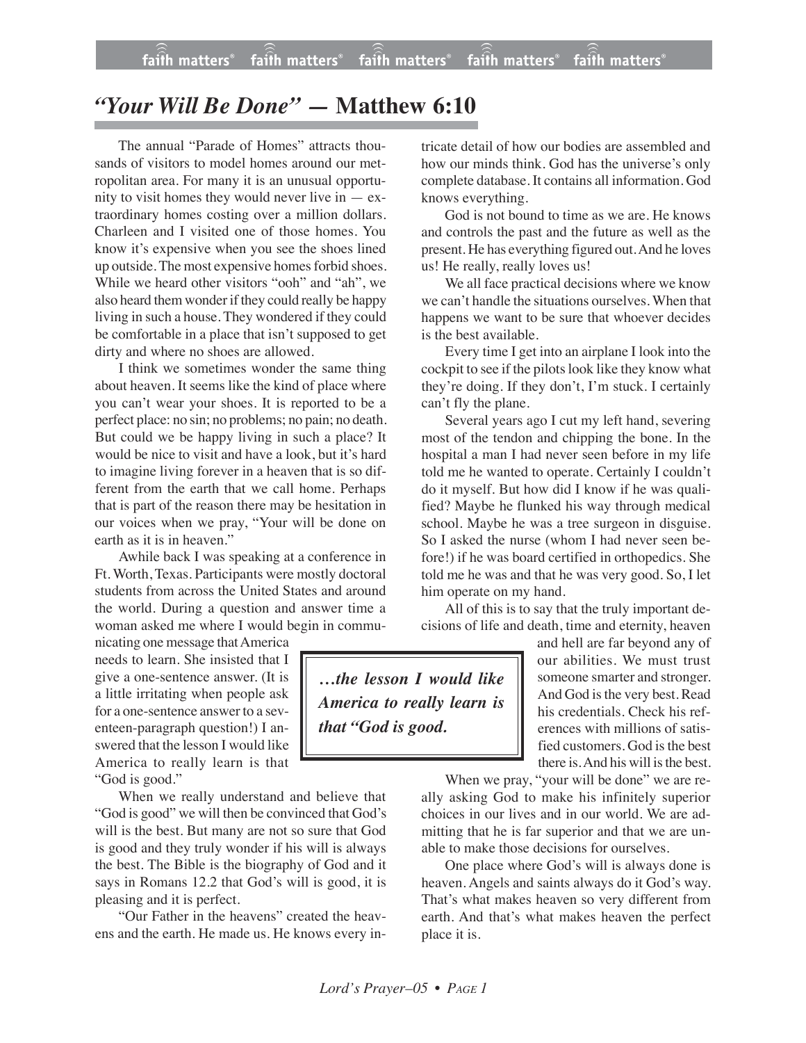## *"Your Will Be Done" —* **Matthew 6:10**

The annual "Parade of Homes" attracts thousands of visitors to model homes around our metropolitan area. For many it is an unusual opportunity to visit homes they would never live in  $-$  extraordinary homes costing over a million dollars. Charleen and I visited one of those homes. You know it's expensive when you see the shoes lined up outside. The most expensive homes forbid shoes. While we heard other visitors "ooh" and "ah", we also heard them wonder if they could really be happy living in such a house. They wondered if they could be comfortable in a place that isn't supposed to get dirty and where no shoes are allowed.

I think we sometimes wonder the same thing about heaven. It seems like the kind of place where you can't wear your shoes. It is reported to be a perfect place: no sin; no problems; no pain; no death. But could we be happy living in such a place? It would be nice to visit and have a look, but it's hard to imagine living forever in a heaven that is so different from the earth that we call home. Perhaps that is part of the reason there may be hesitation in our voices when we pray, "Your will be done on earth as it is in heaven."

Awhile back I was speaking at a conference in Ft. Worth, Texas. Participants were mostly doctoral students from across the United States and around the world. During a question and answer time a woman asked me where I would begin in commu-

nicating one message that America needs to learn. She insisted that I give a one-sentence answer. (It is a little irritating when people ask for a one-sentence answer to a seventeen-paragraph question!) I answered that the lesson I would like America to really learn is that "God is good."

When we really understand and believe that "God is good" we will then be convinced that God's will is the best. But many are not so sure that God is good and they truly wonder if his will is always the best. The Bible is the biography of God and it says in Romans 12.2 that God's will is good, it is pleasing and it is perfect.

"Our Father in the heavens" created the heavens and the earth. He made us. He knows every in-

tricate detail of how our bodies are assembled and how our minds think. God has the universe's only complete database. It contains all information. God knows everything.

God is not bound to time as we are. He knows and controls the past and the future as well as the present. He has everything figured out.And he loves us! He really, really loves us!

We all face practical decisions where we know we can't handle the situations ourselves. When that happens we want to be sure that whoever decides is the best available.

Every time I get into an airplane I look into the cockpit to see if the pilots look like they know what they're doing. If they don't, I'm stuck. I certainly can't fly the plane.

Several years ago I cut my left hand, severing most of the tendon and chipping the bone. In the hospital a man I had never seen before in my life told me he wanted to operate. Certainly I couldn't do it myself. But how did I know if he was qualified? Maybe he flunked his way through medical school. Maybe he was a tree surgeon in disguise. So I asked the nurse (whom I had never seen before!) if he was board certified in orthopedics. She told me he was and that he was very good. So, I let him operate on my hand.

All of this is to say that the truly important decisions of life and death, time and eternity, heaven

*…the lesson I would like America to really learn is that "God is good.*

and hell are far beyond any of our abilities. We must trust someone smarter and stronger. And God is the very best. Read his credentials. Check his references with millions of satisfied customers. God is the best there is. And his will is the best.

When we pray, "your will be done" we are really asking God to make his infinitely superior choices in our lives and in our world. We are admitting that he is far superior and that we are unable to make those decisions for ourselves.

One place where God's will is always done is heaven. Angels and saints always do it God's way. That's what makes heaven so very different from earth. And that's what makes heaven the perfect place it is.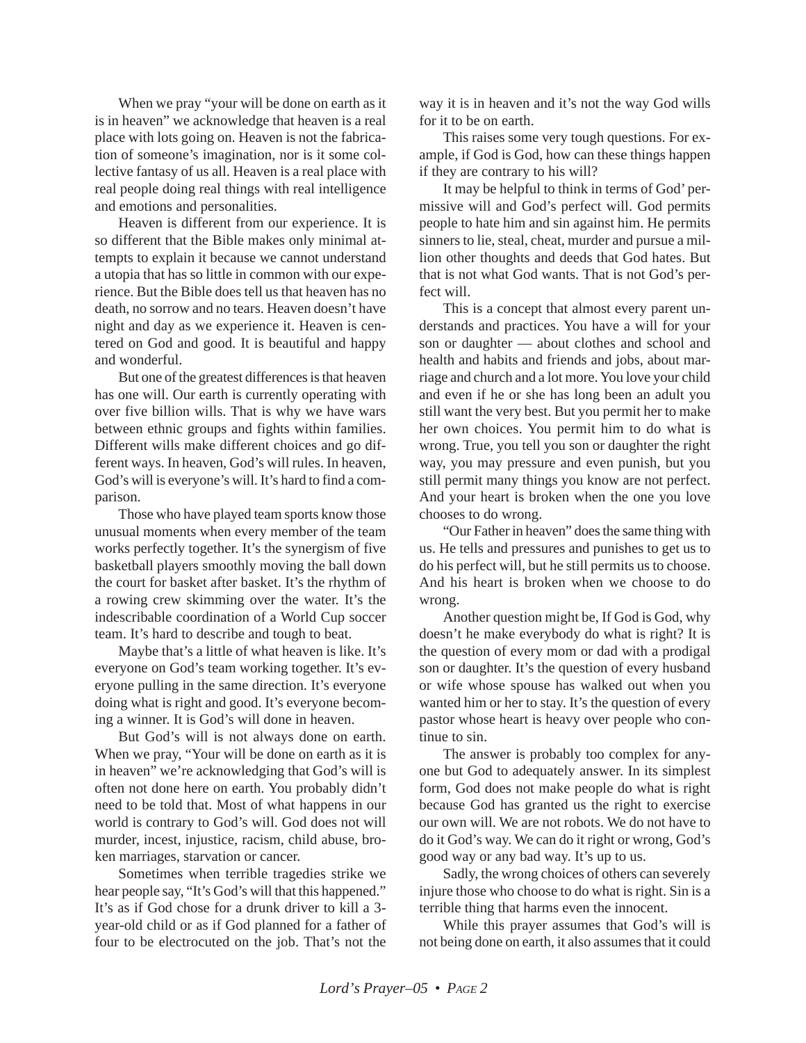When we pray "your will be done on earth as it is in heaven" we acknowledge that heaven is a real place with lots going on. Heaven is not the fabrication of someone's imagination, nor is it some collective fantasy of us all. Heaven is a real place with real people doing real things with real intelligence and emotions and personalities.

Heaven is different from our experience. It is so different that the Bible makes only minimal attempts to explain it because we cannot understand a utopia that has so little in common with our experience. But the Bible does tell us that heaven has no death, no sorrow and no tears. Heaven doesn't have night and day as we experience it. Heaven is centered on God and good. It is beautiful and happy and wonderful.

But one of the greatest differences is that heaven has one will. Our earth is currently operating with over five billion wills. That is why we have wars between ethnic groups and fights within families. Different wills make different choices and go different ways. In heaven, God's will rules. In heaven, God's will is everyone's will. It's hard to find a comparison.

Those who have played team sports know those unusual moments when every member of the team works perfectly together. It's the synergism of five basketball players smoothly moving the ball down the court for basket after basket. It's the rhythm of a rowing crew skimming over the water. It's the indescribable coordination of a World Cup soccer team. It's hard to describe and tough to beat.

Maybe that's a little of what heaven is like. It's everyone on God's team working together. It's everyone pulling in the same direction. It's everyone doing what is right and good. It's everyone becoming a winner. It is God's will done in heaven.

But God's will is not always done on earth. When we pray, "Your will be done on earth as it is in heaven" we're acknowledging that God's will is often not done here on earth. You probably didn't need to be told that. Most of what happens in our world is contrary to God's will. God does not will murder, incest, injustice, racism, child abuse, broken marriages, starvation or cancer.

Sometimes when terrible tragedies strike we hear people say, "It's God's will that this happened." It's as if God chose for a drunk driver to kill a 3 year-old child or as if God planned for a father of four to be electrocuted on the job. That's not the

way it is in heaven and it's not the way God wills for it to be on earth.

This raises some very tough questions. For example, if God is God, how can these things happen if they are contrary to his will?

It may be helpful to think in terms of God' permissive will and God's perfect will. God permits people to hate him and sin against him. He permits sinners to lie, steal, cheat, murder and pursue a million other thoughts and deeds that God hates. But that is not what God wants. That is not God's perfect will.

This is a concept that almost every parent understands and practices. You have a will for your son or daughter — about clothes and school and health and habits and friends and jobs, about marriage and church and a lot more. You love your child and even if he or she has long been an adult you still want the very best. But you permit her to make her own choices. You permit him to do what is wrong. True, you tell you son or daughter the right way, you may pressure and even punish, but you still permit many things you know are not perfect. And your heart is broken when the one you love chooses to do wrong.

"Our Father in heaven" does the same thing with us. He tells and pressures and punishes to get us to do his perfect will, but he still permits us to choose. And his heart is broken when we choose to do wrong.

Another question might be, If God is God, why doesn't he make everybody do what is right? It is the question of every mom or dad with a prodigal son or daughter. It's the question of every husband or wife whose spouse has walked out when you wanted him or her to stay. It's the question of every pastor whose heart is heavy over people who continue to sin.

The answer is probably too complex for anyone but God to adequately answer. In its simplest form, God does not make people do what is right because God has granted us the right to exercise our own will. We are not robots. We do not have to do it God's way. We can do it right or wrong, God's good way or any bad way. It's up to us.

Sadly, the wrong choices of others can severely injure those who choose to do what is right. Sin is a terrible thing that harms even the innocent.

While this prayer assumes that God's will is not being done on earth, it also assumes that it could